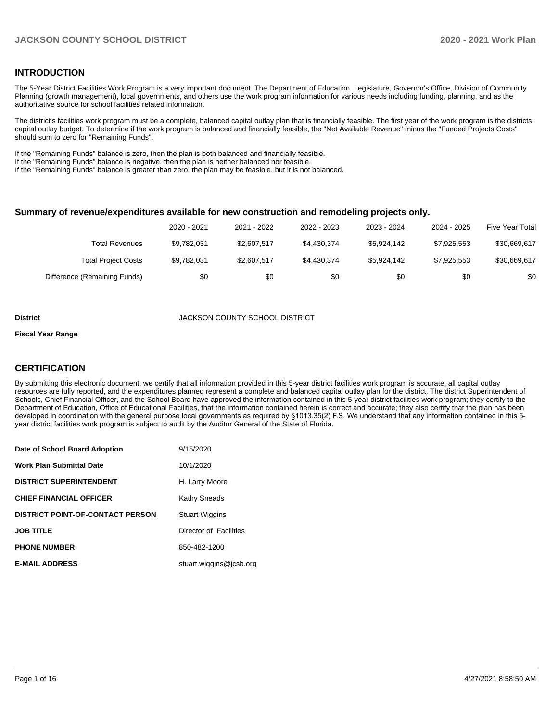## **INTRODUCTION**

The 5-Year District Facilities Work Program is a very important document. The Department of Education, Legislature, Governor's Office, Division of Community Planning (growth management), local governments, and others use the work program information for various needs including funding, planning, and as the authoritative source for school facilities related information.

The district's facilities work program must be a complete, balanced capital outlay plan that is financially feasible. The first year of the work program is the districts capital outlay budget. To determine if the work program is balanced and financially feasible, the "Net Available Revenue" minus the "Funded Projects Costs" should sum to zero for "Remaining Funds".

If the "Remaining Funds" balance is zero, then the plan is both balanced and financially feasible.

If the "Remaining Funds" balance is negative, then the plan is neither balanced nor feasible.

If the "Remaining Funds" balance is greater than zero, the plan may be feasible, but it is not balanced.

#### **Summary of revenue/expenditures available for new construction and remodeling projects only.**

| <b>Five Year Total</b> | 2024 - 2025 | 2023 - 2024 | 2022 - 2023 | 2021 - 2022 | 2020 - 2021 |                              |
|------------------------|-------------|-------------|-------------|-------------|-------------|------------------------------|
| \$30,669,617           | \$7.925.553 | \$5.924.142 | \$4.430.374 | \$2,607.517 | \$9,782,031 | Total Revenues               |
| \$30,669,617           | \$7,925,553 | \$5.924.142 | \$4,430,374 | \$2,607,517 | \$9,782,031 | <b>Total Project Costs</b>   |
| \$0                    | \$0         | \$0         | \$0         | \$0         | \$0         | Difference (Remaining Funds) |

#### **District COUNTY SCHOOL DISTRICT**

#### **Fiscal Year Range**

## **CERTIFICATION**

By submitting this electronic document, we certify that all information provided in this 5-year district facilities work program is accurate, all capital outlay resources are fully reported, and the expenditures planned represent a complete and balanced capital outlay plan for the district. The district Superintendent of Schools, Chief Financial Officer, and the School Board have approved the information contained in this 5-year district facilities work program; they certify to the Department of Education, Office of Educational Facilities, that the information contained herein is correct and accurate; they also certify that the plan has been developed in coordination with the general purpose local governments as required by §1013.35(2) F.S. We understand that any information contained in this 5 year district facilities work program is subject to audit by the Auditor General of the State of Florida.

| Date of School Board Adoption           | 9/15/2020               |
|-----------------------------------------|-------------------------|
| <b>Work Plan Submittal Date</b>         | 10/1/2020               |
| <b>DISTRICT SUPERINTENDENT</b>          | H. Larry Moore          |
| <b>CHIEF FINANCIAL OFFICER</b>          | Kathy Sneads            |
| <b>DISTRICT POINT-OF-CONTACT PERSON</b> | <b>Stuart Wiggins</b>   |
| <b>JOB TITLE</b>                        | Director of Facilities  |
| <b>PHONE NUMBER</b>                     | 850-482-1200            |
| <b>E-MAIL ADDRESS</b>                   | stuart.wiggins@icsb.org |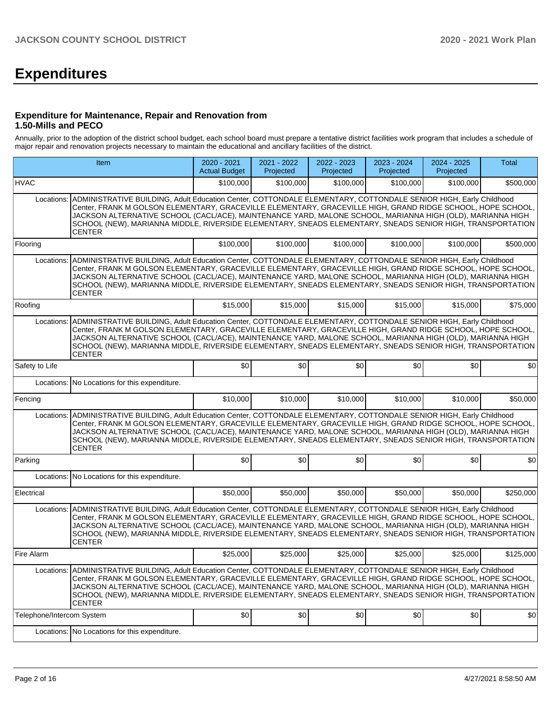# **Expenditures**

### **Expenditure for Maintenance, Repair and Renovation from 1.50-Mills and PECO**

Annually, prior to the adoption of the district school budget, each school board must prepare a tentative district facilities work program that includes a schedule of major repair and renovation projects necessary to maintain the educational and ancillary facilities of the district.

| Item                      |                                                                                                                                                                                                                                                                                                                                                                                                                                                                                        | 2020 - 2021<br><b>Actual Budget</b> | 2021 - 2022<br>Projected | 2022 - 2023<br>Projected | 2023 - 2024<br>Projected | $2024 - 2025$<br>Projected | <b>Total</b> |
|---------------------------|----------------------------------------------------------------------------------------------------------------------------------------------------------------------------------------------------------------------------------------------------------------------------------------------------------------------------------------------------------------------------------------------------------------------------------------------------------------------------------------|-------------------------------------|--------------------------|--------------------------|--------------------------|----------------------------|--------------|
| <b>HVAC</b>               |                                                                                                                                                                                                                                                                                                                                                                                                                                                                                        | \$100,000                           | \$100,000                | \$100,000                | \$100,000                | \$100,000                  | \$500,000    |
| Locations:                | ADMINISTRATIVE BUILDING, Adult Education Center, COTTONDALE ELEMENTARY, COTTONDALE SENIOR HIGH, Early Childhood<br>Center, FRANK M GOLSON ELEMENTARY, GRACEVILLE ELEMENTARY, GRACEVILLE HIGH, GRAND RIDGE SCHOOL, HOPE SCHOOL,<br>JACKSON ALTERNATIVE SCHOOL (CACL/ACE), MAINTENANCE YARD, MALONE SCHOOL, MARIANNA HIGH (OLD), MARIANNA HIGH<br>SCHOOL (NEW), MARIANNA MIDDLE, RIVERSIDE ELEMENTARY, SNEADS ELEMENTARY, SNEADS SENIOR HIGH, TRANSPORTATION<br>CENTER                   |                                     |                          |                          |                          |                            |              |
| Flooring                  |                                                                                                                                                                                                                                                                                                                                                                                                                                                                                        | \$100,000                           | \$100,000                | \$100,000                | \$100,000                | \$100,000                  | \$500,000    |
| Locations:                | ADMINISTRATIVE BUILDING, Adult Education Center, COTTONDALE ELEMENTARY, COTTONDALE SENIOR HIGH, Early Childhood<br>Center, FRANK M GOLSON ELEMENTARY, GRACEVILLE ELEMENTARY, GRACEVILLE HIGH, GRAND RIDGE SCHOOL, HOPE SCHOOL,<br>JACKSON ALTERNATIVE SCHOOL (CACL/ACE), MAINTENANCE YARD, MALONE SCHOOL, MARIANNA HIGH (OLD), MARIANNA HIGH<br>SCHOOL (NEW), MARIANNA MIDDLE, RIVERSIDE ELEMENTARY, SNEADS ELEMENTARY, SNEADS SENIOR HIGH, TRANSPORTATION<br>CENTER                   |                                     |                          |                          |                          |                            |              |
| Roofing                   |                                                                                                                                                                                                                                                                                                                                                                                                                                                                                        | \$15,000                            | \$15,000                 | \$15,000                 | \$15,000                 | \$15,000                   | \$75,000     |
| Locations:                | ADMINISTRATIVE BUILDING, Adult Education Center, COTTONDALE ELEMENTARY, COTTONDALE SENIOR HIGH, Early Childhood<br>Center, FRANK M GOLSON ELEMENTARY, GRACEVILLE ELEMENTARY, GRACEVILLE HIGH, GRAND RIDGE SCHOOL, HOPE SCHOOL,<br>JACKSON ALTERNATIVE SCHOOL (CACL/ACE), MAINTENANCE YARD, MALONE SCHOOL, MARIANNA HIGH (OLD), MARIANNA HIGH<br>SCHOOL (NEW), MARIANNA MIDDLE, RIVERSIDE ELEMENTARY, SNEADS ELEMENTARY, SNEADS SENIOR HIGH, TRANSPORTATION<br><b>CENTER</b>            |                                     |                          |                          |                          |                            |              |
| Safety to Life            |                                                                                                                                                                                                                                                                                                                                                                                                                                                                                        | \$0                                 | \$0                      | \$0                      | \$0                      | \$0                        | \$0          |
| Locations:                | No Locations for this expenditure.                                                                                                                                                                                                                                                                                                                                                                                                                                                     |                                     |                          |                          |                          |                            |              |
| Fencing                   |                                                                                                                                                                                                                                                                                                                                                                                                                                                                                        | \$10,000                            | \$10,000                 | \$10,000                 | \$10,000                 | \$10.000                   | \$50,000     |
| Locations:                | ADMINISTRATIVE BUILDING, Adult Education Center, COTTONDALE ELEMENTARY, COTTONDALE SENIOR HIGH, Early Childhood<br>Center, FRANK M GOLSON ELEMENTARY, GRACEVILLE ELEMENTARY, GRACEVILLE HIGH, GRAND RIDGE SCHOOL, HOPE SCHOOL,<br>JACKSON ALTERNATIVE SCHOOL (CACL/ACE), MAINTENANCE YARD, MALONE SCHOOL, MARIANNA HIGH (OLD), MARIANNA HIGH<br>SCHOOL (NEW), MARIANNA MIDDLE, RIVERSIDE ELEMENTARY, SNEADS ELEMENTARY, SNEADS SENIOR HIGH, TRANSPORTATION<br><b>CENTER</b>            |                                     |                          |                          |                          |                            |              |
| Parking                   |                                                                                                                                                                                                                                                                                                                                                                                                                                                                                        | \$0                                 | \$0                      | \$0                      | \$0                      | \$0                        | \$0          |
|                           | Locations: No Locations for this expenditure.                                                                                                                                                                                                                                                                                                                                                                                                                                          |                                     |                          |                          |                          |                            |              |
| Electrical                |                                                                                                                                                                                                                                                                                                                                                                                                                                                                                        | \$50,000                            | \$50,000                 | \$50,000                 | \$50,000                 | \$50,000                   | \$250,000    |
| Locations:                | ADMINISTRATIVE BUILDING, Adult Education Center, COTTONDALE ELEMENTARY, COTTONDALE SENIOR HIGH, Early Childhood<br>Center, FRANK M GOLSON ELEMENTARY, GRACEVILLE ELEMENTARY, GRACEVILLE HIGH, GRAND RIDGE SCHOOL, HOPE SCHOOL,<br>JACKSON ALTERNATIVE SCHOOL (CACL/ACE), MAINTENANCE YARD, MALONE SCHOOL, MARIANNA HIGH (OLD), MARIANNA HIGH<br>SCHOOL (NEW), MARIANNA MIDDLE, RIVERSIDE ELEMENTARY, SNEADS ELEMENTARY, SNEADS SENIOR HIGH, TRANSPORTATION<br><b>CENTER</b>            |                                     |                          |                          |                          |                            |              |
| Fire Alarm                |                                                                                                                                                                                                                                                                                                                                                                                                                                                                                        | \$25,000                            | \$25,000                 | \$25,000                 | \$25,000                 | \$25,000                   | \$125,000    |
|                           | Locations: ADMINISTRATIVE BUILDING, Adult Education Center, COTTONDALE ELEMENTARY, COTTONDALE SENIOR HIGH, Early Childhood<br>Center, FRANK M GOLSON ELEMENTARY, GRACEVILLE ELEMENTARY, GRACEVILLE HIGH, GRAND RIDGE SCHOOL, HOPE SCHOOL,<br>JACKSON ALTERNATIVE SCHOOL (CACL/ACE), MAINTENANCE YARD, MALONE SCHOOL, MARIANNA HIGH (OLD), MARIANNA HIGH<br>SCHOOL (NEW), MARIANNA MIDDLE, RIVERSIDE ELEMENTARY, SNEADS ELEMENTARY, SNEADS SENIOR HIGH, TRANSPORTATION<br><b>CENTER</b> |                                     |                          |                          |                          |                            |              |
| Telephone/Intercom System |                                                                                                                                                                                                                                                                                                                                                                                                                                                                                        | \$0                                 | \$0                      | \$0                      | \$0                      | \$0                        | 30           |
|                           | Locations: No Locations for this expenditure.                                                                                                                                                                                                                                                                                                                                                                                                                                          |                                     |                          |                          |                          |                            |              |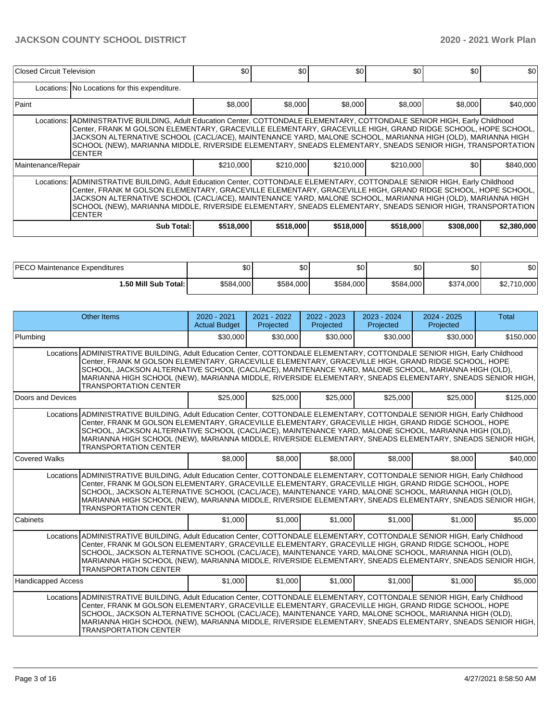| Closed Circuit Television                                                                                                                                                                                                                                                                                                                                                                                                                                                              |                                                                                                                                                                                                                                                                                                                                                                                                                                                                                        | \$0       | \$0       | \$0       | \$0       | \$0       | \$0         |  |  |  |  |  |
|----------------------------------------------------------------------------------------------------------------------------------------------------------------------------------------------------------------------------------------------------------------------------------------------------------------------------------------------------------------------------------------------------------------------------------------------------------------------------------------|----------------------------------------------------------------------------------------------------------------------------------------------------------------------------------------------------------------------------------------------------------------------------------------------------------------------------------------------------------------------------------------------------------------------------------------------------------------------------------------|-----------|-----------|-----------|-----------|-----------|-------------|--|--|--|--|--|
| Locations: No Locations for this expenditure.                                                                                                                                                                                                                                                                                                                                                                                                                                          |                                                                                                                                                                                                                                                                                                                                                                                                                                                                                        |           |           |           |           |           |             |  |  |  |  |  |
| Paint                                                                                                                                                                                                                                                                                                                                                                                                                                                                                  |                                                                                                                                                                                                                                                                                                                                                                                                                                                                                        | \$8,000   | \$8,000   | \$8,000   | \$8,000   | \$8,000   | \$40,000    |  |  |  |  |  |
|                                                                                                                                                                                                                                                                                                                                                                                                                                                                                        | Locations: ADMINISTRATIVE BUILDING, Adult Education Center, COTTONDALE ELEMENTARY, COTTONDALE SENIOR HIGH, Early Childhood<br>Center, FRANK M GOLSON ELEMENTARY, GRACEVILLE ELEMENTARY, GRACEVILLE HIGH, GRAND RIDGE SCHOOL, HOPE SCHOOL,<br>JACKSON ALTERNATIVE SCHOOL (CACL/ACE), MAINTENANCE YARD, MALONE SCHOOL, MARIANNA HIGH (OLD), MARIANNA HIGH<br>SCHOOL (NEW), MARIANNA MIDDLE, RIVERSIDE ELEMENTARY, SNEADS ELEMENTARY, SNEADS SENIOR HIGH, TRANSPORTATION<br><b>CENTER</b> |           |           |           |           |           |             |  |  |  |  |  |
| Maintenance/Repair                                                                                                                                                                                                                                                                                                                                                                                                                                                                     |                                                                                                                                                                                                                                                                                                                                                                                                                                                                                        | \$210,000 | \$210,000 | \$210,000 | \$210,000 | \$0       | \$840,000   |  |  |  |  |  |
| Locations: ADMINISTRATIVE BUILDING, Adult Education Center, COTTONDALE ELEMENTARY, COTTONDALE SENIOR HIGH, Early Childhood<br>Center, FRANK M GOLSON ELEMENTARY, GRACEVILLE ELEMENTARY, GRACEVILLE HIGH, GRAND RIDGE SCHOOL, HOPE SCHOOL,<br>JACKSON ALTERNATIVE SCHOOL (CACL/ACE), MAINTENANCE YARD, MALONE SCHOOL, MARIANNA HIGH (OLD), MARIANNA HIGH<br>SCHOOL (NEW), MARIANNA MIDDLE, RIVERSIDE ELEMENTARY, SNEADS ELEMENTARY, SNEADS SENIOR HIGH, TRANSPORTATION<br><b>CENTER</b> |                                                                                                                                                                                                                                                                                                                                                                                                                                                                                        |           |           |           |           |           |             |  |  |  |  |  |
|                                                                                                                                                                                                                                                                                                                                                                                                                                                                                        | Sub Total:                                                                                                                                                                                                                                                                                                                                                                                                                                                                             | \$518,000 | \$518,000 | \$518,000 | \$518,000 | \$308,000 | \$2,380,000 |  |  |  |  |  |

| <b>IPECO Maintenance Expenditures</b> | \$0       | \$0 <sub>1</sub> | \$0       | ሶስ<br>ΦU  | ΦO<br>υ∪  | ሶስ<br>JU.   |
|---------------------------------------|-----------|------------------|-----------|-----------|-----------|-------------|
| 1.50 Mill Sub Total:                  | \$584,000 | \$584,000        | \$584,000 | \$584,000 | \$374,000 | \$2,710,000 |

| Other Items                                                                                                                                                                                                                                                                                                                                                                                                                                                                           | $2020 - 2021$<br><b>Actual Budget</b>                                                                                                                                                                                                                                                                                                                                                                                                                 | 2021 - 2022<br>Projected | 2022 - 2023<br>Projected | 2023 - 2024<br>Projected | $2024 - 2025$<br>Projected | <b>Total</b> |  |  |  |  |
|---------------------------------------------------------------------------------------------------------------------------------------------------------------------------------------------------------------------------------------------------------------------------------------------------------------------------------------------------------------------------------------------------------------------------------------------------------------------------------------|-------------------------------------------------------------------------------------------------------------------------------------------------------------------------------------------------------------------------------------------------------------------------------------------------------------------------------------------------------------------------------------------------------------------------------------------------------|--------------------------|--------------------------|--------------------------|----------------------------|--------------|--|--|--|--|
| Plumbing                                                                                                                                                                                                                                                                                                                                                                                                                                                                              | \$30,000                                                                                                                                                                                                                                                                                                                                                                                                                                              | \$30,000                 | \$30,000                 | \$30,000                 | \$30,000                   | \$150,000    |  |  |  |  |
| Locations ADMINISTRATIVE BUILDING, Adult Education Center, COTTONDALE ELEMENTARY, COTTONDALE SENIOR HIGH, Early Childhood<br>Center, FRANK M GOLSON ELEMENTARY, GRACEVILLE ELEMENTARY, GRACEVILLE HIGH, GRAND RIDGE SCHOOL, HOPE<br>SCHOOL, JACKSON ALTERNATIVE SCHOOL (CACL/ACE), MAINTENANCE YARD, MALONE SCHOOL, MARIANNA HIGH (OLD),<br>MARIANNA HIGH SCHOOL (NEW), MARIANNA MIDDLE, RIVERSIDE ELEMENTARY, SNEADS ELEMENTARY, SNEADS SENIOR HIGH,<br><b>TRANSPORTATION CENTER</b> |                                                                                                                                                                                                                                                                                                                                                                                                                                                       |                          |                          |                          |                            |              |  |  |  |  |
| Doors and Devices                                                                                                                                                                                                                                                                                                                                                                                                                                                                     | \$25,000                                                                                                                                                                                                                                                                                                                                                                                                                                              | \$25,000                 | \$25,000                 | \$25,000                 | \$25,000                   | \$125,000    |  |  |  |  |
| Locations ADMINISTRATIVE BUILDING, Adult Education Center, COTTONDALE ELEMENTARY, COTTONDALE SENIOR HIGH, Early Childhood<br>Center, FRANK M GOLSON ELEMENTARY, GRACEVILLE ELEMENTARY, GRACEVILLE HIGH, GRAND RIDGE SCHOOL, HOPE<br>SCHOOL, JACKSON ALTERNATIVE SCHOOL (CACL/ACE), MAINTENANCE YARD, MALONE SCHOOL, MARIANNA HIGH (OLD),<br>MARIANNA HIGH SCHOOL (NEW), MARIANNA MIDDLE, RIVERSIDE ELEMENTARY, SNEADS ELEMENTARY, SNEADS SENIOR HIGH,<br><b>TRANSPORTATION CENTER</b> |                                                                                                                                                                                                                                                                                                                                                                                                                                                       |                          |                          |                          |                            |              |  |  |  |  |
| Covered Walks                                                                                                                                                                                                                                                                                                                                                                                                                                                                         | \$8,000                                                                                                                                                                                                                                                                                                                                                                                                                                               | \$8,000                  | \$8,000                  | \$8,000                  | \$8,000                    | \$40,000     |  |  |  |  |
| Locations ADMINISTRATIVE BUILDING, Adult Education Center, COTTONDALE ELEMENTARY, COTTONDALE SENIOR HIGH, Early Childhood<br>Center, FRANK M GOLSON ELEMENTARY, GRACEVILLE ELEMENTARY, GRACEVILLE HIGH, GRAND RIDGE SCHOOL, HOPE<br>SCHOOL, JACKSON ALTERNATIVE SCHOOL (CACL/ACE), MAINTENANCE YARD, MALONE SCHOOL, MARIANNA HIGH (OLD),<br>MARIANNA HIGH SCHOOL (NEW), MARIANNA MIDDLE, RIVERSIDE ELEMENTARY, SNEADS ELEMENTARY, SNEADS SENIOR HIGH,<br><b>TRANSPORTATION CENTER</b> |                                                                                                                                                                                                                                                                                                                                                                                                                                                       |                          |                          |                          |                            |              |  |  |  |  |
| Cabinets                                                                                                                                                                                                                                                                                                                                                                                                                                                                              | \$1,000                                                                                                                                                                                                                                                                                                                                                                                                                                               | \$1,000                  | \$1,000                  | \$1,000                  | \$1,000                    | \$5,000      |  |  |  |  |
| Locations ADMINISTRATIVE BUILDING, Adult Education Center, COTTONDALE ELEMENTARY, COTTONDALE SENIOR HIGH, Early Childhood<br>Center, FRANK M GOLSON ELEMENTARY, GRACEVILLE ELEMENTARY, GRACEVILLE HIGH, GRAND RIDGE SCHOOL, HOPE<br>SCHOOL, JACKSON ALTERNATIVE SCHOOL (CACL/ACE), MAINTENANCE YARD, MALONE SCHOOL, MARIANNA HIGH (OLD),<br>MARIANNA HIGH SCHOOL (NEW), MARIANNA MIDDLE, RIVERSIDE ELEMENTARY, SNEADS ELEMENTARY, SNEADS SÈNIOR HIGH,<br><b>TRANSPORTATION CENTER</b> |                                                                                                                                                                                                                                                                                                                                                                                                                                                       |                          |                          |                          |                            |              |  |  |  |  |
| Handicapped Access                                                                                                                                                                                                                                                                                                                                                                                                                                                                    | \$1,000                                                                                                                                                                                                                                                                                                                                                                                                                                               | \$1,000                  | \$1,000                  | \$1,000                  | \$1,000                    | \$5,000      |  |  |  |  |
| <b>TRANSPORTATION CENTER</b>                                                                                                                                                                                                                                                                                                                                                                                                                                                          | Locations ADMINISTRATIVE BUILDING, Adult Education Center, COTTONDALE ELEMENTARY, COTTONDALE SENIOR HIGH, Early Childhood<br>Center, FRANK M GOLSON ELEMENTARY, GRACEVILLE ELEMENTARY, GRACEVILLE HIGH, GRAND RIDGE SCHOOL, HOPE<br>SCHOOL, JACKSON ALTERNATIVE SCHOOL (CACL/ACE), MAINTENANCE YARD, MALONE SCHOOL, MARIANNA HIGH (OLD),<br>MARIANNA HIGH SCHOOL (NEW), MARIANNA MIDDLE, RIVERSIDE ELEMENTARY, SNEADS ELEMENTARY, SNEADS SENIOR HIGH, |                          |                          |                          |                            |              |  |  |  |  |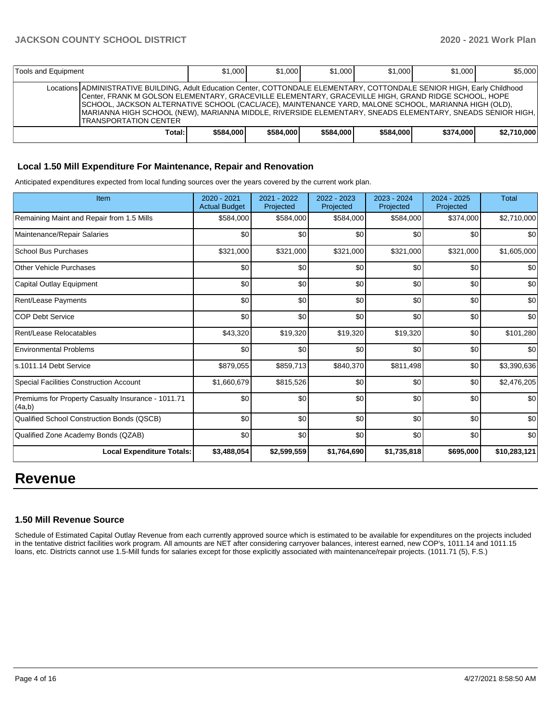| Tools and Equipment |                                                                                                                                                                                                                                                                                                                                                                                                                                                                                          | \$1,000   | \$1,000   | \$1,000   | \$1,000   | \$1,000   | \$5,000     |
|---------------------|------------------------------------------------------------------------------------------------------------------------------------------------------------------------------------------------------------------------------------------------------------------------------------------------------------------------------------------------------------------------------------------------------------------------------------------------------------------------------------------|-----------|-----------|-----------|-----------|-----------|-------------|
|                     | Locations ADMINISTRATIVE BUILDING, Adult Education Center, COTTONDALE ELEMENTARY, COTTONDALE SENIOR HIGH, Early Childhood<br>Center, FRANK M GOLSON ELEMENTARY, GRACEVILLE ELEMENTARY, GRACEVILLE HIGH, GRAND RIDGE SCHOOL, HOPE<br>ISCHOOL, JACKSON ALTERNATIVE SCHOOL (CACL/ACE), MAINTENANCE YARD, MALONE SCHOOL, MARIANNA HIGH (OLD),<br>IMARIANNA HIGH SCHOOL (NEW), MARIANNA MIDDLE, RIVERSIDE ELEMENTARY, SNEADS ELEMENTARY, SNEADS SENIOR HIGH,<br><b>ITRANSPORTATION CENTER</b> |           |           |           |           |           |             |
|                     | Total:                                                                                                                                                                                                                                                                                                                                                                                                                                                                                   | \$584,000 | \$584,000 | \$584,000 | \$584.000 | \$374,000 | \$2.710,000 |

### **Local 1.50 Mill Expenditure For Maintenance, Repair and Renovation**

Anticipated expenditures expected from local funding sources over the years covered by the current work plan.

| Item                                                         | 2020 - 2021<br><b>Actual Budget</b> | 2021 - 2022<br>Projected | 2022 - 2023<br>Projected | $2023 - 2024$<br>Projected | 2024 - 2025<br>Projected | <b>Total</b> |
|--------------------------------------------------------------|-------------------------------------|--------------------------|--------------------------|----------------------------|--------------------------|--------------|
| Remaining Maint and Repair from 1.5 Mills                    | \$584,000                           | \$584,000                | \$584,000                | \$584,000                  | \$374,000                | \$2,710,000  |
| Maintenance/Repair Salaries                                  | \$0                                 | \$0                      | \$0                      | \$0                        | \$0                      | \$0          |
| <b>School Bus Purchases</b>                                  | \$321,000                           | \$321,000                | \$321,000                | \$321,000                  | \$321,000                | \$1,605,000  |
| <b>Other Vehicle Purchases</b>                               | \$0                                 | \$0                      | \$0                      | \$0                        | \$0                      | \$0          |
| Capital Outlay Equipment                                     | \$0                                 | \$0                      | \$0                      | \$0                        | \$0                      | \$0          |
| Rent/Lease Payments                                          | \$0                                 | \$0                      | \$0                      | \$0                        | \$0                      | \$0          |
| <b>COP Debt Service</b>                                      | \$0                                 | \$0                      | \$0                      | \$0                        | \$0                      | \$0          |
| Rent/Lease Relocatables                                      | \$43,320                            | \$19,320                 | \$19,320                 | \$19,320                   | \$0                      | \$101,280    |
| <b>Environmental Problems</b>                                | \$0                                 | \$0                      | \$0                      | \$0                        | \$0                      | \$0          |
| s.1011.14 Debt Service                                       | \$879,055                           | \$859,713                | \$840,370                | \$811,498                  | \$0                      | \$3,390,636  |
| <b>Special Facilities Construction Account</b>               | \$1,660,679                         | \$815,526                | \$0                      | \$0                        | \$0                      | \$2,476,205  |
| Premiums for Property Casualty Insurance - 1011.71<br>(4a,b) | \$0                                 | \$0                      | \$0                      | \$0                        | \$0                      | \$0          |
| Qualified School Construction Bonds (QSCB)                   | \$0                                 | \$0                      | \$0                      | \$0                        | \$0                      | \$0          |
| Qualified Zone Academy Bonds (QZAB)                          | \$0                                 | \$0                      | \$0                      | \$0                        | \$0                      | \$0          |
| <b>Local Expenditure Totals:</b>                             | \$3,488,054                         | \$2,599,559              | \$1,764,690              | \$1,735,818                | \$695,000                | \$10,283,121 |

# **Revenue**

#### **1.50 Mill Revenue Source**

Schedule of Estimated Capital Outlay Revenue from each currently approved source which is estimated to be available for expenditures on the projects included in the tentative district facilities work program. All amounts are NET after considering carryover balances, interest earned, new COP's, 1011.14 and 1011.15 loans, etc. Districts cannot use 1.5-Mill funds for salaries except for those explicitly associated with maintenance/repair projects. (1011.71 (5), F.S.)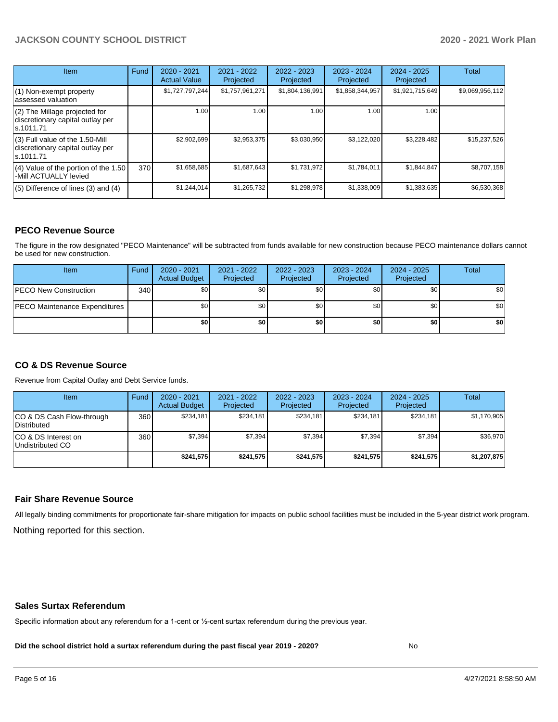# **JACKSON COUNTY SCHOOL DISTRICT 2020 - 2021 Work Plan**

| <b>Item</b>                                                                         | Fund | $2020 - 2021$<br><b>Actual Value</b> | $2021 - 2022$<br>Projected | 2022 - 2023<br>Projected | $2023 - 2024$<br>Projected | $2024 - 2025$<br>Projected | <b>Total</b>    |
|-------------------------------------------------------------------------------------|------|--------------------------------------|----------------------------|--------------------------|----------------------------|----------------------------|-----------------|
| $(1)$ Non-exempt property<br>lassessed valuation                                    |      | \$1,727,797,244                      | \$1,757,961,271            | \$1,804,136,991          | \$1,858,344,957            | \$1,921,715,649            | \$9,069,956,112 |
| $(2)$ The Millage projected for<br>discretionary capital outlay per<br>ls.1011.71   |      | 1.00                                 | 1.00                       | 1.00                     | 1.00                       | 1.00                       |                 |
| $(3)$ Full value of the 1.50-Mill<br>discretionary capital outlay per<br>ls.1011.71 |      | \$2,902,699                          | \$2,953,375                | \$3,030,950              | \$3,122,020                | \$3,228,482                | \$15,237,526    |
| $(4)$ Value of the portion of the 1.50<br>-Mill ACTUALLY levied                     | 370  | \$1,658,685                          | \$1,687,643                | \$1,731,972              | \$1,784,011                | \$1,844,847                | \$8,707,158     |
| $(5)$ Difference of lines $(3)$ and $(4)$                                           |      | \$1,244,014                          | \$1,265,732                | \$1,298,978              | \$1,338,009                | \$1,383,635                | \$6,530,368     |

## **PECO Revenue Source**

The figure in the row designated "PECO Maintenance" will be subtracted from funds available for new construction because PECO maintenance dollars cannot be used for new construction.

| Item                                 | Fund | $2020 - 2021$<br><b>Actual Budget</b> | 2021 - 2022<br>Projected | 2022 - 2023<br>Projected | 2023 - 2024<br>Projected | $2024 - 2025$<br>Projected | Total            |
|--------------------------------------|------|---------------------------------------|--------------------------|--------------------------|--------------------------|----------------------------|------------------|
| <b>PECO New Construction</b>         | 340  | \$0                                   | \$0 <sub>1</sub>         | \$0                      | \$0 <sub>0</sub>         | \$0 <sub>1</sub>           | \$0 <sub>1</sub> |
| <b>PECO Maintenance Expenditures</b> |      | ا 30                                  | \$٥Ι                     | \$0                      | \$0 <sub>1</sub>         | \$0                        | \$0              |
|                                      |      | \$0                                   | \$0                      | \$0                      | \$0                      | \$0                        | \$0              |

# **CO & DS Revenue Source**

Revenue from Capital Outlay and Debt Service funds.

| Item                                      | Fund | $2020 - 2021$<br><b>Actual Budget</b> | 2021 - 2022<br>Projected | 2022 - 2023<br>Projected | 2023 - 2024<br>Projected | $2024 - 2025$<br>Projected | Total       |
|-------------------------------------------|------|---------------------------------------|--------------------------|--------------------------|--------------------------|----------------------------|-------------|
| ICO & DS Cash Flow-through<br>Distributed | 360  | \$234.181                             | \$234.181                | \$234.181                | \$234.181                | \$234.181                  | \$1,170,905 |
| ICO & DS Interest on<br>Undistributed CO  | 360  | \$7.394                               | \$7,394                  | \$7.394                  | \$7.394                  | \$7,394                    | \$36,970    |
|                                           |      | \$241.575                             | \$241.575                | \$241.575                | \$241.575                | \$241.575                  | \$1,207,875 |

#### **Fair Share Revenue Source**

Nothing reported for this section. All legally binding commitments for proportionate fair-share mitigation for impacts on public school facilities must be included in the 5-year district work program.

#### **Sales Surtax Referendum**

Specific information about any referendum for a 1-cent or ½-cent surtax referendum during the previous year.

**Did the school district hold a surtax referendum during the past fiscal year 2019 - 2020?**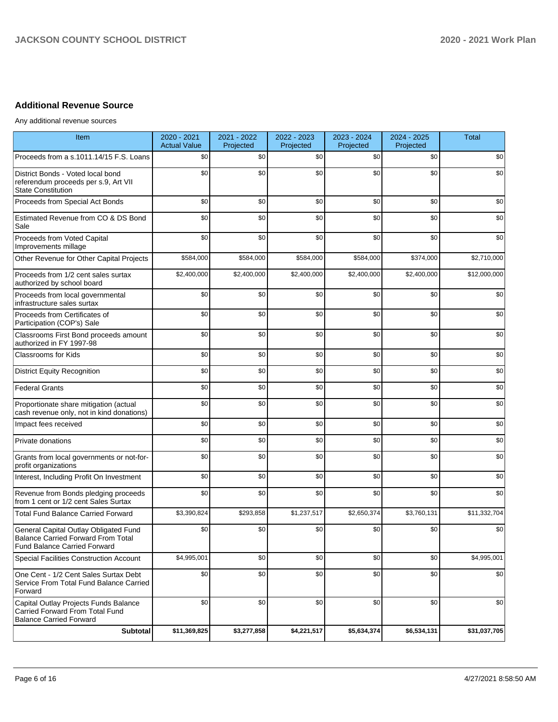# **Additional Revenue Source**

Any additional revenue sources

| Item                                                                                                               | 2020 - 2021<br><b>Actual Value</b> | 2021 - 2022<br>Projected | 2022 - 2023<br>Projected | 2023 - 2024<br>Projected | 2024 - 2025<br>Projected | <b>Total</b> |
|--------------------------------------------------------------------------------------------------------------------|------------------------------------|--------------------------|--------------------------|--------------------------|--------------------------|--------------|
| Proceeds from a s.1011.14/15 F.S. Loans                                                                            | \$0                                | \$0                      | \$0                      | \$0                      | \$0                      | \$0          |
| District Bonds - Voted local bond<br>referendum proceeds per s.9, Art VII<br><b>State Constitution</b>             | \$0                                | \$0                      | \$0                      | \$0                      | \$0                      | \$0          |
| Proceeds from Special Act Bonds                                                                                    | \$0                                | \$0                      | \$0                      | \$0                      | \$0                      | \$0          |
| Estimated Revenue from CO & DS Bond<br>Sale                                                                        | \$0                                | \$0                      | \$0                      | \$0                      | \$0                      | \$0          |
| Proceeds from Voted Capital<br>Improvements millage                                                                | \$0                                | \$0                      | \$0                      | \$0                      | \$0                      | \$0          |
| Other Revenue for Other Capital Projects                                                                           | \$584,000                          | \$584,000                | \$584,000                | \$584,000                | \$374,000                | \$2,710,000  |
| Proceeds from 1/2 cent sales surtax<br>authorized by school board                                                  | \$2,400,000                        | \$2,400,000              | \$2,400,000              | \$2,400,000              | \$2,400,000              | \$12,000,000 |
| Proceeds from local governmental<br>infrastructure sales surtax                                                    | \$0                                | \$0                      | \$0                      | \$0                      | \$0                      | \$0          |
| Proceeds from Certificates of<br>Participation (COP's) Sale                                                        | \$0                                | \$0                      | \$0                      | \$0                      | \$0                      | \$0          |
| Classrooms First Bond proceeds amount<br>authorized in FY 1997-98                                                  | \$0                                | \$0                      | \$0                      | \$0                      | \$0                      | \$0          |
| <b>Classrooms for Kids</b>                                                                                         | \$0                                | \$0                      | \$0                      | \$0                      | \$0                      | \$0          |
| <b>District Equity Recognition</b>                                                                                 | \$0                                | \$0                      | \$0                      | \$0                      | \$0                      | \$0          |
| <b>Federal Grants</b>                                                                                              | \$0                                | \$0                      | \$0                      | \$0                      | \$0                      | \$0          |
| Proportionate share mitigation (actual<br>cash revenue only, not in kind donations)                                | \$0                                | \$0                      | \$0                      | \$0                      | \$0                      | \$0          |
| Impact fees received                                                                                               | \$0                                | \$0                      | \$0                      | \$0                      | \$0                      | \$0          |
| Private donations                                                                                                  | \$0                                | \$0                      | \$0                      | \$0                      | \$0                      | \$0          |
| Grants from local governments or not-for-<br>profit organizations                                                  | \$0                                | \$0                      | \$0                      | \$0                      | \$0                      | \$0          |
| Interest, Including Profit On Investment                                                                           | \$0                                | \$0                      | \$0                      | \$0                      | \$0                      | \$0          |
| Revenue from Bonds pledging proceeds<br>from 1 cent or 1/2 cent Sales Surtax                                       | \$0                                | \$0                      | \$0                      | \$0                      | \$0                      | \$0          |
| <b>Total Fund Balance Carried Forward</b>                                                                          | \$3,390,824                        | \$293,858                | \$1,237,517              | \$2,650,374              | \$3,760,131              | \$11,332,704 |
| General Capital Outlay Obligated Fund<br>Balance Carried Forward From Total<br><b>Fund Balance Carried Forward</b> | \$0                                | \$0                      | \$0                      | \$0                      | \$0                      | \$0          |
| <b>Special Facilities Construction Account</b>                                                                     | \$4,995,001                        | \$0                      | \$0                      | \$0                      | \$0                      | \$4,995,001  |
| One Cent - 1/2 Cent Sales Surtax Debt<br>Service From Total Fund Balance Carried<br>Forward                        | \$0                                | \$0                      | \$0                      | \$0                      | \$0                      | \$0          |
| Capital Outlay Projects Funds Balance<br>Carried Forward From Total Fund<br><b>Balance Carried Forward</b>         | \$0                                | \$0                      | \$0                      | \$0                      | \$0                      | \$0          |
| <b>Subtotal</b>                                                                                                    | \$11,369,825                       | \$3,277,858              | \$4,221,517              | \$5,634,374              | \$6,534,131              | \$31,037,705 |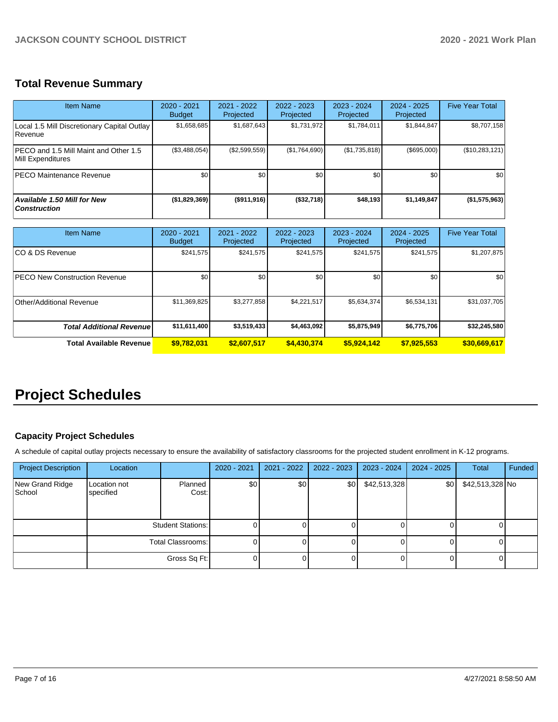# **Total Revenue Summary**

| <b>Item Name</b>                                              | $2020 - 2021$<br><b>Budget</b> | $2021 - 2022$<br>Projected | $2022 - 2023$<br><b>Projected</b> | $2023 - 2024$<br>Projected | $2024 - 2025$<br>Projected | <b>Five Year Total</b> |
|---------------------------------------------------------------|--------------------------------|----------------------------|-----------------------------------|----------------------------|----------------------------|------------------------|
| Local 1.5 Mill Discretionary Capital Outlay<br><b>Revenue</b> | \$1,658,685                    | \$1,687,643                | \$1,731,972                       | \$1,784,011                | \$1,844,847                | \$8,707,158            |
| IPECO and 1.5 Mill Maint and Other 1.5<br>Mill Expenditures   | (\$3,488,054)                  | (\$2,599,559)              | (\$1,764,690)                     | (\$1,735,818)              | (\$695,000)                | (\$10,283,121)         |
| <b>PECO Maintenance Revenue</b>                               | \$0                            | \$0                        | \$0                               | \$0                        | \$0                        | \$0                    |
| <b>Available 1.50 Mill for New</b><br><b>Construction</b>     | (\$1,829,369)                  | ( \$911, 916)              | ( \$32,718)                       | \$48,193                   | \$1,149,847                | (\$1,575,963)          |

| <b>Item Name</b>                      | 2020 - 2021<br><b>Budget</b> | $2021 - 2022$<br>Projected | 2022 - 2023<br>Projected | 2023 - 2024<br>Projected | 2024 - 2025<br>Projected | <b>Five Year Total</b> |
|---------------------------------------|------------------------------|----------------------------|--------------------------|--------------------------|--------------------------|------------------------|
| ICO & DS Revenue                      | \$241,575                    | \$241,575                  | \$241,575                | \$241,575                | \$241,575                | \$1,207,875            |
| <b>IPECO New Construction Revenue</b> | \$0                          | \$0 <sub>1</sub>           | \$0                      | \$0                      | \$0                      | \$0                    |
| Other/Additional Revenue              | \$11,369,825                 | \$3,277,858                | \$4,221,517              | \$5,634,374              | \$6,534,131              | \$31,037,705           |
| <b>Total Additional Revenuel</b>      | \$11,611,400                 | \$3,519,433                | \$4,463,092              | \$5,875,949              | \$6,775,706              | \$32,245,580           |
| <b>Total Available Revenue</b>        | \$9,782,031                  | \$2,607,517                | \$4,430,374              | \$5,924,142              | \$7,925,553              | \$30,669,617           |

# **Project Schedules**

# **Capacity Project Schedules**

A schedule of capital outlay projects necessary to ensure the availability of satisfactory classrooms for the projected student enrollment in K-12 programs.

| <b>Project Description</b> | Location                  |                  | 2020 - 2021 | 2021 - 2022      | 2022 - 2023 | 2023 - 2024  | 2024 - 2025 | <b>Total</b>    | Funded |
|----------------------------|---------------------------|------------------|-------------|------------------|-------------|--------------|-------------|-----------------|--------|
| New Grand Ridge<br>School  | Location not<br>specified | Planned<br>Cost: | \$0         | \$0 <sub>1</sub> | \$0         | \$42,513,328 | \$0         | \$42,513,328 No |        |
|                            | <b>Student Stations:</b>  |                  |             |                  |             |              |             |                 |        |
|                            | Total Classrooms:         |                  |             |                  |             |              |             |                 |        |
|                            |                           | Gross Sq Ft:     |             |                  |             |              |             |                 |        |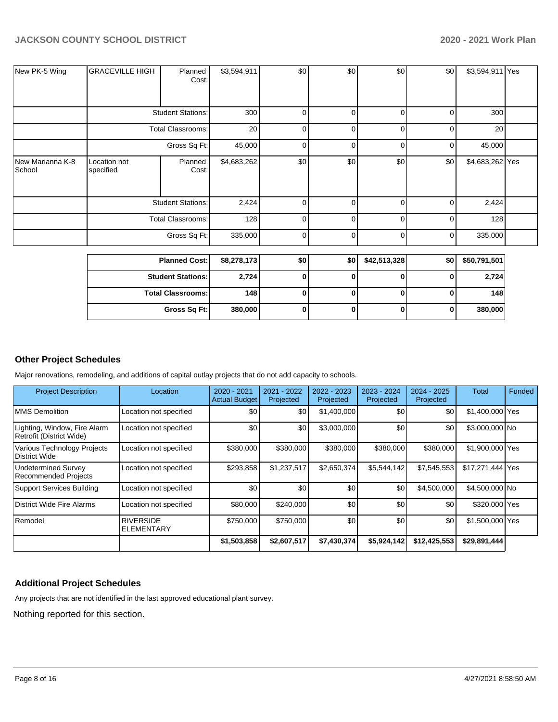|                            |                           | <b>Student Stations:</b> | 2,724       | 0              | 0        | 0            | 0        | 2,724           |  |
|----------------------------|---------------------------|--------------------------|-------------|----------------|----------|--------------|----------|-----------------|--|
|                            | <b>Planned Cost:</b>      |                          | \$8,278,173 | \$0            | \$0      | \$42,513,328 | \$0      | \$50,791,501    |  |
|                            | Gross Sq Ft:              |                          | 335,000     | $\Omega$       | $\Omega$ | $\Omega$     | $\Omega$ | 335,000         |  |
|                            |                           | <b>Total Classrooms:</b> | 128         | $\Omega$       | $\Omega$ | $\Omega$     | $\Omega$ | 128             |  |
|                            |                           | <b>Student Stations:</b> | 2,424       | 0              | $\Omega$ | O            | C        | 2,424           |  |
| New Marianna K-8<br>School | Location not<br>specified | Planned<br>Cost:         | \$4,683,262 | \$0            | \$0      | \$0          | \$0      | \$4,683,262 Yes |  |
|                            | Gross Sq Ft:              |                          | 45,000      | 0              | $\Omega$ | 0            | 0        | 45,000          |  |
|                            | <b>Total Classrooms:</b>  |                          | 20          | $\overline{0}$ | 0        | 0            | 0        | 20              |  |
|                            |                           | <b>Student Stations:</b> | 300         | 0              | 0        | 0            | 0        | 300             |  |
| New PK-5 Wing              | <b>GRACEVILLE HIGH</b>    | Planned<br>Cost:         | \$3,594,911 | \$0            | \$0      | \$0          | \$0      | \$3,594,911 Yes |  |

**Total Classrooms: 148 0 0 0 0 148**

**Gross Sq Ft: 380,000 0 0 0 0 380,000**

**Other Project Schedules**

Major renovations, remodeling, and additions of capital outlay projects that do not add capacity to schools.

| <b>Project Description</b>                                | Location                              | 2020 - 2021<br><b>Actual Budget</b> | 2021 - 2022<br>Projected | 2022 - 2023<br>Projected | 2023 - 2024<br>Projected | 2024 - 2025<br>Projected | Total            | Funded |
|-----------------------------------------------------------|---------------------------------------|-------------------------------------|--------------------------|--------------------------|--------------------------|--------------------------|------------------|--------|
| <b>MMS Demolition</b>                                     | Location not specified                | \$0                                 | \$0                      | \$1,400,000              | \$0                      | \$0                      | \$1,400,000 Yes  |        |
| Lighting, Window, Fire Alarm<br>Retrofit (District Wide)  | Location not specified                | \$0                                 | \$0                      | \$3,000,000              | \$0                      | \$0                      | \$3,000,000 No   |        |
| Various Technology Projects<br>District Wide              | Location not specified                | \$380,000                           | \$380,000                | \$380,000                | \$380,000                | \$380,000                | \$1,900,000 Yes  |        |
| <b>Undetermined Survey</b><br><b>Recommended Projects</b> | Location not specified                | \$293,858                           | \$1,237,517              | \$2,650,374              | \$5,544,142              | \$7,545,553              | \$17,271,444 Yes |        |
| <b>Support Services Building</b>                          | Location not specified                | \$0                                 | \$0                      | \$0                      | \$0                      | \$4,500,000              | \$4,500,000 No   |        |
| District Wide Fire Alarms                                 | Location not specified                | \$80,000                            | \$240,000                | \$0                      | \$0                      | \$0                      | \$320,000 Yes    |        |
| Remodel                                                   | <b>RIVERSIDE</b><br><b>ELEMENTARY</b> | \$750,000                           | \$750,000                | \$0                      | \$0                      | \$0                      | \$1,500,000 Yes  |        |
|                                                           |                                       | \$1,503,858                         | \$2,607,517              | \$7,430,374              | \$5,924,142              | \$12,425,553             | \$29,891,444     |        |

# **Additional Project Schedules**

Any projects that are not identified in the last approved educational plant survey.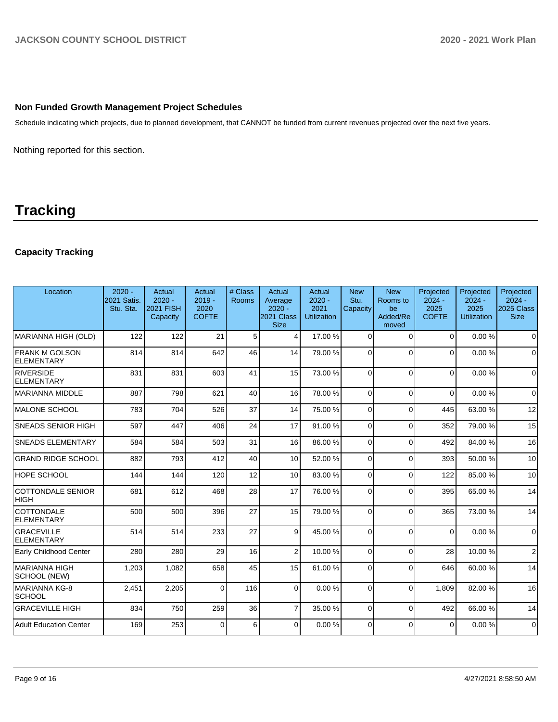## **Non Funded Growth Management Project Schedules**

Schedule indicating which projects, due to planned development, that CANNOT be funded from current revenues projected over the next five years.

Nothing reported for this section.

# **Tracking**

# **Capacity Tracking**

| Location                                   | $2020 -$<br>2021 Satis.<br>Stu. Sta. | Actual<br>$2020 -$<br><b>2021 FISH</b><br>Capacity | Actual<br>$2019 -$<br>2020<br><b>COFTE</b> | # Class<br>Rooms | Actual<br>Average<br>$2020 -$<br>2021 Class<br><b>Size</b> | Actual<br>$2020 -$<br>2021<br><b>Utilization</b> | <b>New</b><br>Stu.<br>Capacity | <b>New</b><br>Rooms to<br>be<br>Added/Re<br>moved | Projected<br>$2024 -$<br>2025<br><b>COFTE</b> | Projected<br>$2024 -$<br>2025<br>Utilization | Projected<br>$2024 -$<br>2025 Class<br><b>Size</b> |
|--------------------------------------------|--------------------------------------|----------------------------------------------------|--------------------------------------------|------------------|------------------------------------------------------------|--------------------------------------------------|--------------------------------|---------------------------------------------------|-----------------------------------------------|----------------------------------------------|----------------------------------------------------|
| MARIANNA HIGH (OLD)                        | 122                                  | 122                                                | 21                                         | 5                | 4                                                          | 17.00 %                                          | $\Omega$                       | $\Omega$                                          | $\Omega$                                      | 0.00%                                        | $\mathbf 0$                                        |
| <b>FRANK M GOLSON</b><br><b>ELEMENTARY</b> | 814                                  | 814                                                | 642                                        | 46               | 14                                                         | 79.00 %                                          | $\Omega$                       | $\Omega$                                          | $\Omega$                                      | 0.00%                                        | $\Omega$                                           |
| RIVERSIDE<br>ELEMENTARY                    | 831                                  | 831                                                | 603                                        | 41               | 15                                                         | 73.00 %                                          | $\Omega$                       | $\Omega$                                          | $\Omega$                                      | 0.00%                                        | $\Omega$                                           |
| MARIANNA MIDDLE                            | 887                                  | 798                                                | 621                                        | 40               | 16                                                         | 78.00 %                                          | $\Omega$                       | $\Omega$                                          | $\Omega$                                      | 0.00%                                        | $\mathbf 0$                                        |
| MALONE SCHOOL                              | 783                                  | 704                                                | 526                                        | 37               | 14                                                         | 75.00 %                                          | $\Omega$                       | $\Omega$                                          | 445                                           | 63.00 %                                      | 12                                                 |
| <b>SNEADS SENIOR HIGH</b>                  | 597                                  | 447                                                | 406                                        | 24               | 17                                                         | 91.00%                                           | $\Omega$                       | $\Omega$                                          | 352                                           | 79.00 %                                      | 15                                                 |
| <b>SNEADS ELEMENTARY</b>                   | 584                                  | 584                                                | 503                                        | 31               | 16                                                         | 86.00 %                                          | $\Omega$                       | $\Omega$                                          | 492                                           | 84.00%                                       | 16                                                 |
| <b>GRAND RIDGE SCHOOL</b>                  | 882                                  | 793                                                | 412                                        | 40               | 10                                                         | 52.00 %                                          | $\Omega$                       | $\Omega$                                          | 393                                           | 50.00 %                                      | 10                                                 |
| <b>HOPE SCHOOL</b>                         | 144                                  | 144                                                | 120                                        | 12               | 10                                                         | 83.00 %                                          | $\Omega$                       | $\Omega$                                          | 122                                           | 85.00 %                                      | 10                                                 |
| <b>COTTONDALE SENIOR</b><br><b>HIGH</b>    | 681                                  | 612                                                | 468                                        | 28               | 17                                                         | 76.00%                                           | $\Omega$                       | $\Omega$                                          | 395                                           | 65.00 %                                      | 14                                                 |
| COTTONDALE<br><b>ELEMENTARY</b>            | 500                                  | 500                                                | 396                                        | 27               | 15                                                         | 79.00 %                                          | $\Omega$                       | $\Omega$                                          | 365                                           | 73.00 %                                      | 14                                                 |
| <b>GRACEVILLE</b><br>ELEMENTARY            | 514                                  | 514                                                | 233                                        | 27               | 9                                                          | 45.00 %                                          | $\Omega$                       | $\Omega$                                          | $\Omega$                                      | 0.00%                                        | $\Omega$                                           |
| Early Childhood Center                     | 280                                  | 280                                                | 29                                         | 16               | $\overline{2}$                                             | 10.00%                                           | $\Omega$                       | $\Omega$                                          | 28                                            | 10.00%                                       | $\overline{2}$                                     |
| MARIANNA HIGH<br>SCHOOL (NEW)              | 1,203                                | 1,082                                              | 658                                        | 45               | 15                                                         | 61.00%                                           | $\Omega$                       | $\Omega$                                          | 646                                           | 60.00%                                       | 14                                                 |
| MARIANNA KG-8<br><b>SCHOOL</b>             | 2,451                                | 2,205                                              | $\Omega$                                   | 116              | $\Omega$                                                   | 0.00%                                            | $\Omega$                       | $\Omega$                                          | 1.809                                         | 82.00%                                       | 16                                                 |
| <b>GRACEVILLE HIGH</b>                     | 834                                  | 750                                                | 259                                        | 36               | $\overline{7}$                                             | 35.00 %                                          | $\Omega$                       | $\Omega$                                          | 492                                           | 66.00 %                                      | 14                                                 |
| Adult Education Center                     | 169                                  | 253                                                | $\Omega$                                   | 6                | $\Omega$                                                   | 0.00%                                            | $\Omega$                       | $\Omega$                                          | $\Omega$                                      | 0.00%                                        | $\mathbf 0$                                        |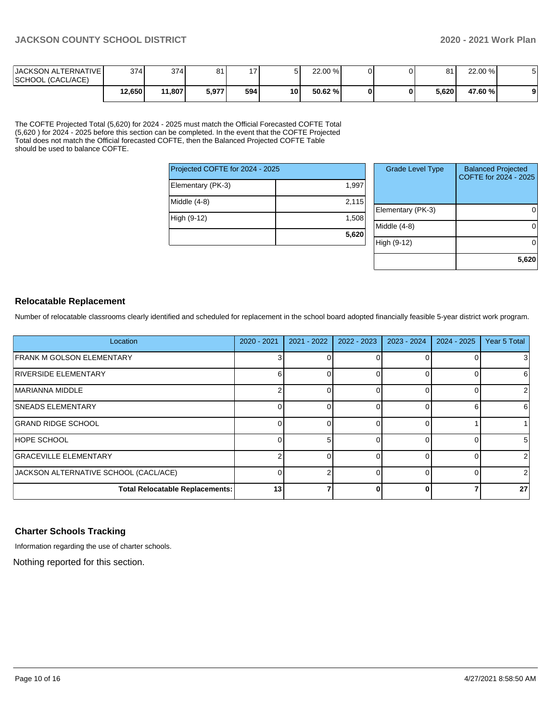| <b>JACKSON ALTERNATIVE</b><br>SCHOOL (CACL/ACE) | 374    | 374    | 81    | $\overline{ }$ |    | 22.00 %    |  | 81    | 22.00 % |  |
|-------------------------------------------------|--------|--------|-------|----------------|----|------------|--|-------|---------|--|
|                                                 | 12,650 | 11,807 | 5,977 | 594            | 10 | $50.62 \%$ |  | 5.620 | 47.60 % |  |

The COFTE Projected Total (5,620) for 2024 - 2025 must match the Official Forecasted COFTE Total (5,620 ) for 2024 - 2025 before this section can be completed. In the event that the COFTE Projected Total does not match the Official forecasted COFTE, then the Balanced Projected COFTE Table should be used to balance COFTE.

| Projected COFTE for 2024 - 2025 |       |  |  |  |  |  |  |
|---------------------------------|-------|--|--|--|--|--|--|
| Elementary (PK-3)               | 1,997 |  |  |  |  |  |  |
| Middle (4-8)                    | 2,115 |  |  |  |  |  |  |
| High (9-12)                     | 1,508 |  |  |  |  |  |  |
|                                 | 5,620 |  |  |  |  |  |  |

| <b>Grade Level Type</b> | <b>Balanced Projected</b><br>COFTE for 2024 - 2025 |
|-------------------------|----------------------------------------------------|
| Elementary (PK-3)       |                                                    |
| Middle (4-8)            |                                                    |
| High (9-12)             |                                                    |
|                         | 5,620                                              |

#### **Relocatable Replacement**

Number of relocatable classrooms clearly identified and scheduled for replacement in the school board adopted financially feasible 5-year district work program.

| Location                               | $2020 - 2021$ | 2021 - 2022 | 2022 - 2023 | 2023 - 2024 | 2024 - 2025 | Year 5 Total |
|----------------------------------------|---------------|-------------|-------------|-------------|-------------|--------------|
| <b>IFRANK M GOLSON ELEMENTARY</b>      |               |             |             |             |             | 3            |
| RIVERSIDE ELEMENTARY                   |               |             |             |             |             | 6            |
| <b>MARIANNA MIDDLE</b>                 |               |             |             |             |             | 2            |
| <b>SNEADS ELEMENTARY</b>               |               |             |             |             |             | 6            |
| <b>GRAND RIDGE SCHOOL</b>              |               |             |             |             |             |              |
| <b>HOPE SCHOOL</b>                     |               |             |             |             |             | 5            |
| <b>GRACEVILLE ELEMENTARY</b>           |               |             |             |             |             | 2            |
| JACKSON ALTERNATIVE SCHOOL (CACL/ACE)  |               |             |             |             |             | 2            |
| <b>Total Relocatable Replacements:</b> | 13            |             |             |             |             | 27           |

#### **Charter Schools Tracking**

Information regarding the use of charter schools.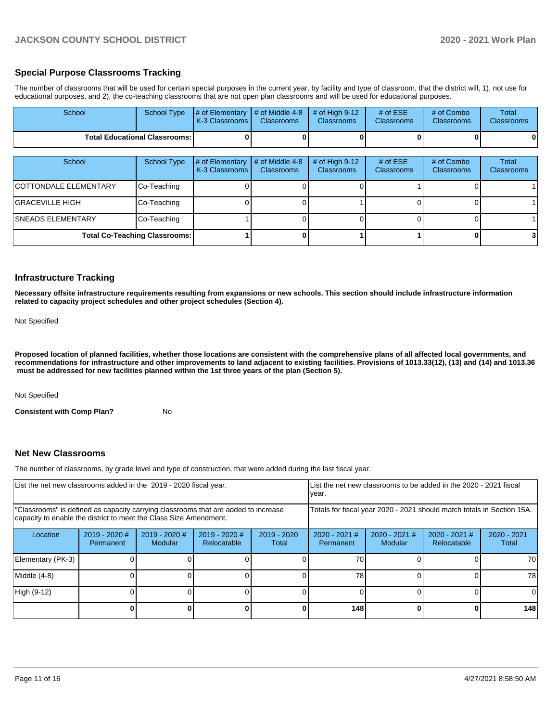## **Special Purpose Classrooms Tracking**

The number of classrooms that will be used for certain special purposes in the current year, by facility and type of classroom, that the district will, 1), not use for educational purposes, and 2), the co-teaching classrooms that are not open plan classrooms and will be used for educational purposes.

| School                               | <b>School Type</b>                   | # of Elementary<br>K-3 Classrooms | # of Middle 4-8<br><b>Classrooms</b> | # of High $9-12$<br><b>Classrooms</b> | # of $ESE$<br>Classrooms | # of Combo<br>Classrooms | Total<br><b>Classrooms</b> |
|--------------------------------------|--------------------------------------|-----------------------------------|--------------------------------------|---------------------------------------|--------------------------|--------------------------|----------------------------|
| <b>Total Educational Classrooms:</b> |                                      |                                   |                                      |                                       |                          |                          | 0                          |
| School                               | <b>School Type</b>                   | # of Elementary<br>K-3 Classrooms | # of Middle 4-8<br><b>Classrooms</b> | # of High $9-12$<br><b>Classrooms</b> | # of $ESE$<br>Classrooms | # of Combo<br>Classrooms | Total<br><b>Classrooms</b> |
| <b>COTTONDALE ELEMENTARY</b>         | Co-Teaching                          |                                   |                                      |                                       |                          |                          |                            |
| <b>GRACEVILLE HIGH</b>               | Co-Teaching                          |                                   |                                      |                                       |                          |                          |                            |
| <b>SNEADS ELEMENTARY</b>             | Co-Teaching                          |                                   |                                      |                                       |                          |                          |                            |
|                                      | <b>Total Co-Teaching Classrooms:</b> |                                   |                                      |                                       |                          |                          |                            |

#### **Infrastructure Tracking**

**Necessary offsite infrastructure requirements resulting from expansions or new schools. This section should include infrastructure information related to capacity project schedules and other project schedules (Section 4).** 

Not Specified

**Proposed location of planned facilities, whether those locations are consistent with the comprehensive plans of all affected local governments, and recommendations for infrastructure and other improvements to land adjacent to existing facilities. Provisions of 1013.33(12), (13) and (14) and 1013.36 must be addressed for new facilities planned within the 1st three years of the plan (Section 5).** 

Not Specified

**Consistent with Comp Plan?** No

#### **Net New Classrooms**

The number of classrooms, by grade level and type of construction, that were added during the last fiscal year.

| List the net new classrooms added in the 2019 - 2020 fiscal year.                                                                                       |                              |                                   |                                |                                                                        | List the net new classrooms to be added in the 2020 - 2021 fiscal<br>year. |                                 |                                |                        |
|---------------------------------------------------------------------------------------------------------------------------------------------------------|------------------------------|-----------------------------------|--------------------------------|------------------------------------------------------------------------|----------------------------------------------------------------------------|---------------------------------|--------------------------------|------------------------|
| "Classrooms" is defined as capacity carrying classrooms that are added to increase<br>capacity to enable the district to meet the Class Size Amendment. |                              |                                   |                                | Totals for fiscal year 2020 - 2021 should match totals in Section 15A. |                                                                            |                                 |                                |                        |
| Location                                                                                                                                                | $2019 - 2020$ #<br>Permanent | $2019 - 2020$ #<br><b>Modular</b> | $2019 - 2020$ #<br>Relocatable | $2019 - 2020$<br>Total                                                 | $2020 - 2021$ #<br>Permanent                                               | 2020 - 2021 #<br><b>Modular</b> | $2020 - 2021$ #<br>Relocatable | $2020 - 2021$<br>Total |
| Elementary (PK-3)                                                                                                                                       |                              |                                   |                                |                                                                        | 70                                                                         |                                 |                                | 70                     |
| Middle (4-8)                                                                                                                                            |                              |                                   |                                |                                                                        | 78                                                                         |                                 |                                | 78                     |
| High (9-12)                                                                                                                                             |                              |                                   |                                |                                                                        |                                                                            |                                 |                                |                        |
|                                                                                                                                                         |                              |                                   |                                |                                                                        | 148                                                                        |                                 |                                | 148                    |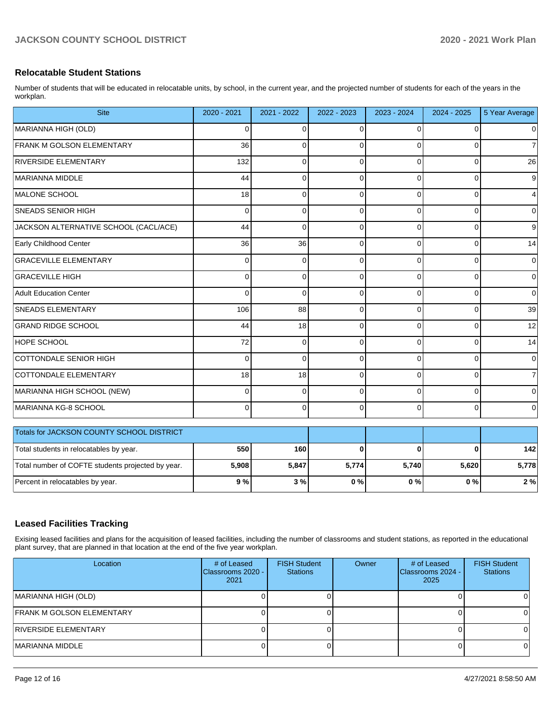## **Relocatable Student Stations**

Number of students that will be educated in relocatable units, by school, in the current year, and the projected number of students for each of the years in the workplan.

| <b>Site</b>                                       | 2020 - 2021    | 2021 - 2022 | 2022 - 2023 | 2023 - 2024 | 2024 - 2025  | 5 Year Average |
|---------------------------------------------------|----------------|-------------|-------------|-------------|--------------|----------------|
| MARIANNA HIGH (OLD)                               | 0              | $\Omega$    | $\Omega$    | $\Omega$    | $\Omega$     | 0              |
| <b>FRANK M GOLSON ELEMENTARY</b>                  | 36             | $\Omega$    | $\Omega$    | 0           | $\Omega$     | 7              |
| <b>RIVERSIDE ELEMENTARY</b>                       | 132            | $\Omega$    | $\Omega$    | 0           | $\Omega$     | 26             |
| MARIANNA MIDDLE                                   | 44             | 0           | $\Omega$    | $\Omega$    | $\Omega$     | 9              |
| MALONE SCHOOL                                     | 18             | $\Omega$    | $\Omega$    | $\Omega$    | $\Omega$     | 4              |
| SNEADS SENIOR HIGH                                | $\Omega$       | $\mathbf 0$ | $\mathbf 0$ | 0           | $\Omega$     | 0              |
| JACKSON ALTERNATIVE SCHOOL (CACL/ACE)             | 44             | $\mathbf 0$ | 0           | 0           | $\Omega$     | 9              |
| Early Childhood Center                            | 36             | 36          | $\Omega$    | $\Omega$    | $\Omega$     | 14             |
| <b>GRACEVILLE ELEMENTARY</b>                      | 0              | $\mathbf 0$ | 0           | 0           | $\Omega$     | 0              |
| <b>GRACEVILLE HIGH</b>                            | $\Omega$       | $\Omega$    | $\Omega$    | $\Omega$    | $\Omega$     | $\mathbf 0$    |
| Adult Education Center                            | $\Omega$       | $\Omega$    | $\mathbf 0$ | 0           | $\Omega$     | $\Omega$       |
| SNEADS ELEMENTARY                                 | 106            | 88          | $\Omega$    | $\Omega$    | $\Omega$     | 39             |
| <b>GRAND RIDGE SCHOOL</b>                         | 44             | 18          | $\Omega$    | $\Omega$    | $\Omega$     | 12             |
| <b>HOPE SCHOOL</b>                                | 72             | $\Omega$    | $\Omega$    | 0           | $\Omega$     | 14             |
| COTTONDALE SENIOR HIGH                            | $\overline{0}$ | $\Omega$    | $\mathbf 0$ | $\Omega$    | $\Omega$     | $\mathbf 0$    |
| COTTONDALE ELEMENTARY                             | 18             | 18          | 0           | 0           | $\Omega$     |                |
| MARIANNA HIGH SCHOOL (NEW)                        | 0              | $\mathbf 0$ | $\Omega$    | 0           | $\mathbf{0}$ | 0              |
| MARIANNA KG-8 SCHOOL                              | 0              | $\Omega$    | 0           | 0           | $\Omega$     | 0              |
| Totals for JACKSON COUNTY SCHOOL DISTRICT         |                |             |             |             |              |                |
| Total students in relocatables by year.           | 550            | 160         | $\bf{0}$    | $\Omega$    | $\Omega$     | 142            |
| Total number of COFTE students projected by year. | 5,908          | 5,847       | 5,774       | 5,740       | 5,620        | 5,778          |
| Percent in relocatables by year.                  | 9%             | 3%          | 0%          | 0%          | $0\%$        | 2%             |

# **Leased Facilities Tracking**

Exising leased facilities and plans for the acquisition of leased facilities, including the number of classrooms and student stations, as reported in the educational plant survey, that are planned in that location at the end of the five year workplan.

| Location                  | # of Leased<br>Classrooms 2020 -<br>2021 | <b>FISH Student</b><br><b>Stations</b> | Owner | # of Leased<br>Classrooms 2024 -<br>2025 | <b>FISH Student</b><br><b>Stations</b> |
|---------------------------|------------------------------------------|----------------------------------------|-------|------------------------------------------|----------------------------------------|
| MARIANNA HIGH (OLD)       |                                          |                                        |       |                                          |                                        |
| FRANK M GOLSON ELEMENTARY |                                          |                                        |       |                                          |                                        |
| RIVERSIDE ELEMENTARY      |                                          |                                        |       |                                          |                                        |
| MARIANNA MIDDLE           |                                          |                                        |       |                                          |                                        |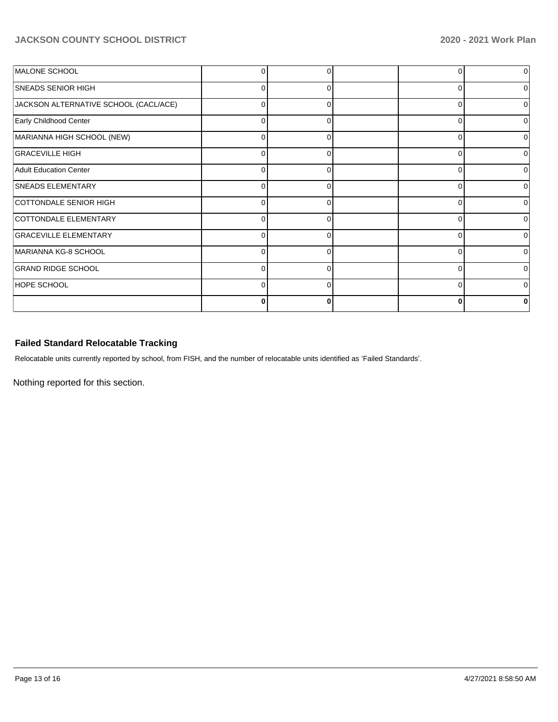# **JACKSON COUNTY SCHOOL DISTRICT 2020 - 2021 Work Plan**

| MALONE SCHOOL                         |          |          | 0        |  |
|---------------------------------------|----------|----------|----------|--|
| <b>SNEADS SENIOR HIGH</b>             | $\Omega$ |          | $\Omega$ |  |
| JACKSON ALTERNATIVE SCHOOL (CACL/ACE) | 0        | 0        | 0        |  |
| Early Childhood Center                | U        | ∩        | 0        |  |
| MARIANNA HIGH SCHOOL (NEW)            | 0        | 0        | 0        |  |
| <b>GRACEVILLE HIGH</b>                | $\Omega$ | $\Omega$ | $\Omega$ |  |
| Adult Education Center                | 0        | 0        | 0        |  |
| SNEADS ELEMENTARY                     | $\Omega$ | ∩        | $\Omega$ |  |
| COTTONDALE SENIOR HIGH                | 0        |          | 0        |  |
| COTTONDALE ELEMENTARY                 | $\Omega$ | ∩        | $\Omega$ |  |
| <b>GRACEVILLE ELEMENTARY</b>          | 0        |          | $\Omega$ |  |
| MARIANNA KG-8 SCHOOL                  | 0        | ∩        | $\Omega$ |  |
| <b>GRAND RIDGE SCHOOL</b>             | 0        |          | $\Omega$ |  |
| <b>HOPE SCHOOL</b>                    | 0        | ∩        | 0        |  |
|                                       | 0        |          | 0        |  |

# **Failed Standard Relocatable Tracking**

Relocatable units currently reported by school, from FISH, and the number of relocatable units identified as 'Failed Standards'.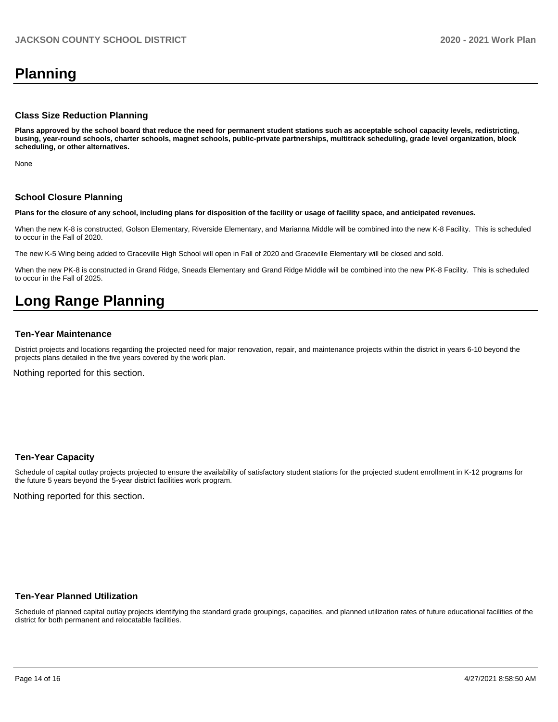# **Planning**

#### **Class Size Reduction Planning**

**Plans approved by the school board that reduce the need for permanent student stations such as acceptable school capacity levels, redistricting, busing, year-round schools, charter schools, magnet schools, public-private partnerships, multitrack scheduling, grade level organization, block scheduling, or other alternatives.**

None

#### **School Closure Planning**

**Plans for the closure of any school, including plans for disposition of the facility or usage of facility space, and anticipated revenues.** 

When the new K-8 is constructed, Golson Elementary, Riverside Elementary, and Marianna Middle will be combined into the new K-8 Facility. This is scheduled to occur in the Fall of 2020.

The new K-5 Wing being added to Graceville High School will open in Fall of 2020 and Graceville Elementary will be closed and sold.

When the new PK-8 is constructed in Grand Ridge, Sneads Elementary and Grand Ridge Middle will be combined into the new PK-8 Facility. This is scheduled to occur in the Fall of 2025.

# **Long Range Planning**

#### **Ten-Year Maintenance**

District projects and locations regarding the projected need for major renovation, repair, and maintenance projects within the district in years 6-10 beyond the projects plans detailed in the five years covered by the work plan.

Nothing reported for this section.

#### **Ten-Year Capacity**

Schedule of capital outlay projects projected to ensure the availability of satisfactory student stations for the projected student enrollment in K-12 programs for the future 5 years beyond the 5-year district facilities work program.

Nothing reported for this section.

#### **Ten-Year Planned Utilization**

Schedule of planned capital outlay projects identifying the standard grade groupings, capacities, and planned utilization rates of future educational facilities of the district for both permanent and relocatable facilities.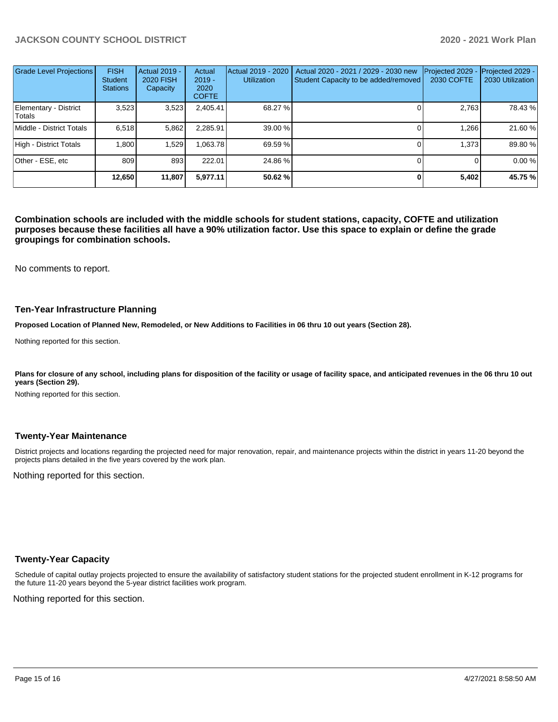# **JACKSON COUNTY SCHOOL DISTRICT 2020 - 2021 Work Plan**

| <b>Grade Level Projections</b>  | <b>FISH</b><br><b>Student</b><br><b>Stations</b> | Actual 2019 -<br><b>2020 FISH</b><br>Capacity | Actual<br>$2019 -$<br>2020<br><b>COFTE</b> | Actual 2019 - 2020<br><b>Utilization</b> | Actual 2020 - 2021 / 2029 - 2030 new<br>Student Capacity to be added/removed | Projected 2029<br><b>2030 COFTE</b> | Projected 2029 -<br>2030 Utilization |
|---------------------------------|--------------------------------------------------|-----------------------------------------------|--------------------------------------------|------------------------------------------|------------------------------------------------------------------------------|-------------------------------------|--------------------------------------|
| Elementary - District<br>Totals | 3,523                                            | 3,523                                         | 2,405.41                                   | 68.27 %                                  |                                                                              | 2,763                               | 78.43 %                              |
| Middle - District Totals        | 6.518                                            | 5,862                                         | 2,285.91                                   | 39.00 %                                  |                                                                              | 1,266                               | 21.60 %                              |
| High - District Totals          | 1.800                                            | 1,529                                         | .063.78                                    | 69.59 %                                  |                                                                              | 1,373                               | 89.80 %                              |
| Other - ESE, etc                | 809                                              | 893                                           | 222.01                                     | 24.86 %                                  |                                                                              |                                     | 0.00 %                               |
|                                 | 12,650                                           | 11,807                                        | 5,977.11                                   | 50.62 %                                  |                                                                              | 5,402                               | 45.75 %                              |

**Combination schools are included with the middle schools for student stations, capacity, COFTE and utilization purposes because these facilities all have a 90% utilization factor. Use this space to explain or define the grade groupings for combination schools.** 

No comments to report.

#### **Ten-Year Infrastructure Planning**

**Proposed Location of Planned New, Remodeled, or New Additions to Facilities in 06 thru 10 out years (Section 28).**

Nothing reported for this section.

Plans for closure of any school, including plans for disposition of the facility or usage of facility space, and anticipated revenues in the 06 thru 10 out **years (Section 29).**

Nothing reported for this section.

#### **Twenty-Year Maintenance**

District projects and locations regarding the projected need for major renovation, repair, and maintenance projects within the district in years 11-20 beyond the projects plans detailed in the five years covered by the work plan.

Nothing reported for this section.

### **Twenty-Year Capacity**

Schedule of capital outlay projects projected to ensure the availability of satisfactory student stations for the projected student enrollment in K-12 programs for the future 11-20 years beyond the 5-year district facilities work program.